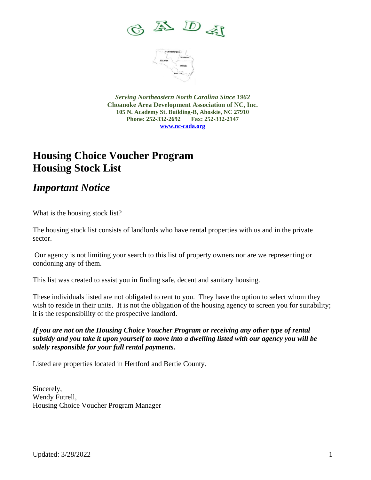



*Serving Northeastern North Carolina Since 1962* **Choanoke Area Development Association of NC, Inc. 105 N. Academy St. Building-B, Ahoskie, NC 27910 Phone: 252-332-2692 Fax: 252-332-2147 [www.nc-cada.org](http://www.nc-cada.org/)**

## **Housing Choice Voucher Program Housing Stock List**

*Important Notice*

What is the housing stock list?

The housing stock list consists of landlords who have rental properties with us and in the private sector.

Our agency is not limiting your search to this list of property owners nor are we representing or condoning any of them.

This list was created to assist you in finding safe, decent and sanitary housing.

These individuals listed are not obligated to rent to you. They have the option to select whom they wish to reside in their units. It is not the obligation of the housing agency to screen you for suitability; it is the responsibility of the prospective landlord.

*If you are not on the Housing Choice Voucher Program or receiving any other type of rental subsidy and you take it upon yourself to move into a dwelling listed with our agency you will be solely responsible for your full rental payments.*

Listed are properties located in Hertford and Bertie County.

Sincerely, Wendy Futrell, Housing Choice Voucher Program Manager